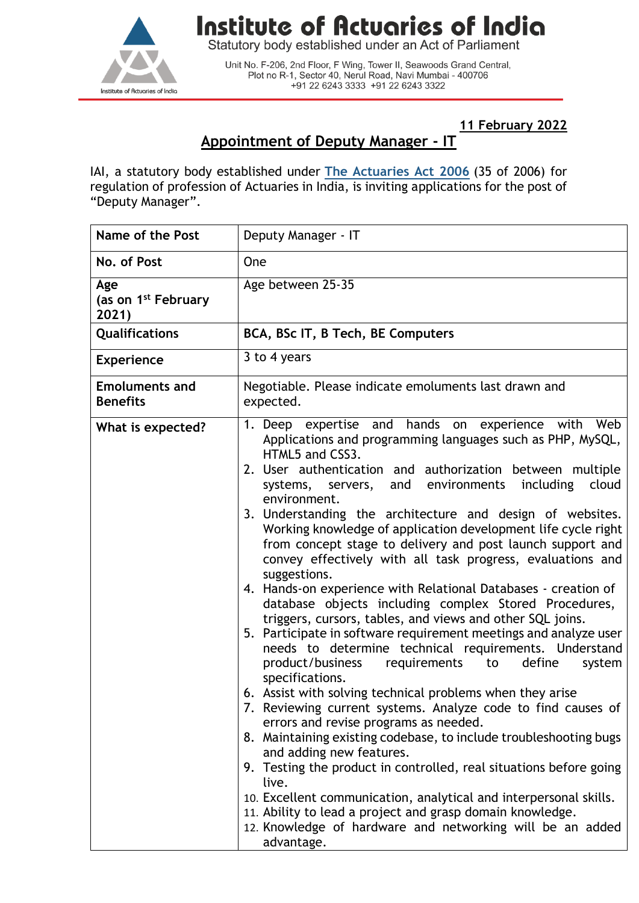

## Institute of Actuaries of India

Statutory body established under an Act of Parliament

Unit No. F-206, 2nd Floor, F Wing, Tower II, Seawoods Grand Central,<br>Plot no R-1, Sector 40, Nerul Road, Navi Mumbai - 400706 +91 22 6243 3333 +91 22 6243 3322

**11 February 2022**

## **Appointment of Deputy Manager - IT**

IAI, a statutory body established under **[The Actuaries Act 2006](http://www.actuariesindia.org/guidance/scanned%20GN.pdf)** (35 of 2006) for regulation of profession of Actuaries in India, is inviting applications for the post of "Deputy Manager".

| <b>Name of the Post</b>                         | Deputy Manager - IT                                                                                                                                                                                                                                                                                                                                                                                                                                                                                                                                                                                                                                                                                                                                                                                                                                                                                                                                                                                                                                                                                                                                                                                                                                                                                                                                                                                                                                                                                                                   |
|-------------------------------------------------|---------------------------------------------------------------------------------------------------------------------------------------------------------------------------------------------------------------------------------------------------------------------------------------------------------------------------------------------------------------------------------------------------------------------------------------------------------------------------------------------------------------------------------------------------------------------------------------------------------------------------------------------------------------------------------------------------------------------------------------------------------------------------------------------------------------------------------------------------------------------------------------------------------------------------------------------------------------------------------------------------------------------------------------------------------------------------------------------------------------------------------------------------------------------------------------------------------------------------------------------------------------------------------------------------------------------------------------------------------------------------------------------------------------------------------------------------------------------------------------------------------------------------------------|
| No. of Post                                     | One                                                                                                                                                                                                                                                                                                                                                                                                                                                                                                                                                                                                                                                                                                                                                                                                                                                                                                                                                                                                                                                                                                                                                                                                                                                                                                                                                                                                                                                                                                                                   |
| Age<br>(as on 1 <sup>st</sup> February<br>2021) | Age between 25-35                                                                                                                                                                                                                                                                                                                                                                                                                                                                                                                                                                                                                                                                                                                                                                                                                                                                                                                                                                                                                                                                                                                                                                                                                                                                                                                                                                                                                                                                                                                     |
| Qualifications                                  | BCA, BSc IT, B Tech, BE Computers                                                                                                                                                                                                                                                                                                                                                                                                                                                                                                                                                                                                                                                                                                                                                                                                                                                                                                                                                                                                                                                                                                                                                                                                                                                                                                                                                                                                                                                                                                     |
| <b>Experience</b>                               | 3 to 4 years                                                                                                                                                                                                                                                                                                                                                                                                                                                                                                                                                                                                                                                                                                                                                                                                                                                                                                                                                                                                                                                                                                                                                                                                                                                                                                                                                                                                                                                                                                                          |
| <b>Emoluments and</b><br><b>Benefits</b>        | Negotiable. Please indicate emoluments last drawn and<br>expected.                                                                                                                                                                                                                                                                                                                                                                                                                                                                                                                                                                                                                                                                                                                                                                                                                                                                                                                                                                                                                                                                                                                                                                                                                                                                                                                                                                                                                                                                    |
| What is expected?                               | 1. Deep expertise and hands on experience with Web<br>Applications and programming languages such as PHP, MySQL,<br>HTML5 and CSS3.<br>2. User authentication and authorization between multiple<br>including<br>and environments<br>cloud<br>systems,<br>servers,<br>environment.<br>3. Understanding the architecture and design of websites.<br>Working knowledge of application development life cycle right<br>from concept stage to delivery and post launch support and<br>convey effectively with all task progress, evaluations and<br>suggestions.<br>4. Hands-on experience with Relational Databases - creation of<br>database objects including complex Stored Procedures,<br>triggers, cursors, tables, and views and other SQL joins.<br>5. Participate in software requirement meetings and analyze user<br>needs to determine technical requirements. Understand<br>define<br>product/business<br>requirements<br>to<br>system<br>specifications.<br>6. Assist with solving technical problems when they arise<br>7. Reviewing current systems. Analyze code to find causes of<br>errors and revise programs as needed.<br>8. Maintaining existing codebase, to include troubleshooting bugs<br>and adding new features.<br>9. Testing the product in controlled, real situations before going<br>live.<br>10. Excellent communication, analytical and interpersonal skills.<br>11. Ability to lead a project and grasp domain knowledge.<br>12. Knowledge of hardware and networking will be an added<br>advantage. |